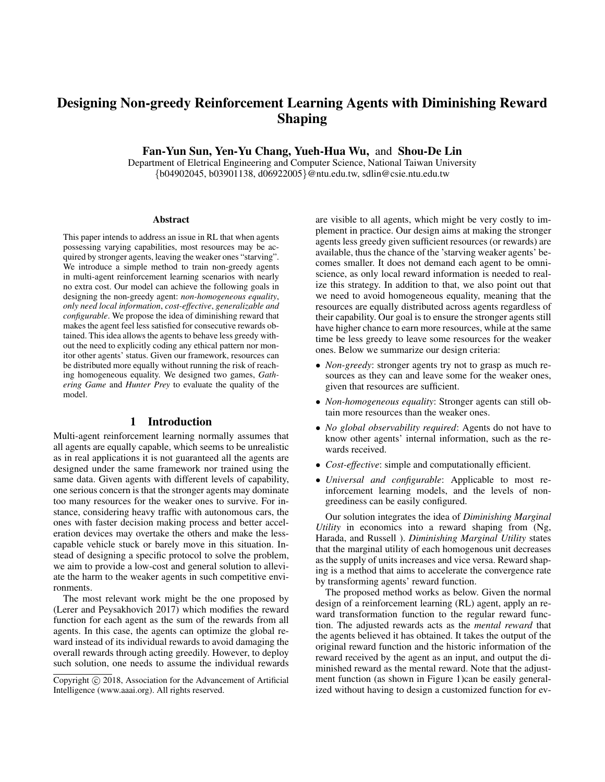# Designing Non-greedy Reinforcement Learning Agents with Diminishing Reward Shaping

Fan-Yun Sun, Yen-Yu Chang, Yueh-Hua Wu, and Shou-De Lin

Department of Eletrical Engineering and Computer Science, National Taiwan University {b04902045, b03901138, d06922005}@ntu.edu.tw, sdlin@csie.ntu.edu.tw

#### Abstract

This paper intends to address an issue in RL that when agents possessing varying capabilities, most resources may be acquired by stronger agents, leaving the weaker ones "starving". We introduce a simple method to train non-greedy agents in multi-agent reinforcement learning scenarios with nearly no extra cost. Our model can achieve the following goals in designing the non-greedy agent: *non-homogeneous equality*, *only need local information*, *cost-effective*, *generalizable and configurable*. We propose the idea of diminishing reward that makes the agent feel less satisfied for consecutive rewards obtained. This idea allows the agents to behave less greedy without the need to explicitly coding any ethical pattern nor monitor other agents' status. Given our framework, resources can be distributed more equally without running the risk of reaching homogeneous equality. We designed two games, *Gathering Game* and *Hunter Prey* to evaluate the quality of the model.

## 1 Introduction

Multi-agent reinforcement learning normally assumes that all agents are equally capable, which seems to be unrealistic as in real applications it is not guaranteed all the agents are designed under the same framework nor trained using the same data. Given agents with different levels of capability, one serious concern is that the stronger agents may dominate too many resources for the weaker ones to survive. For instance, considering heavy traffic with autonomous cars, the ones with faster decision making process and better acceleration devices may overtake the others and make the lesscapable vehicle stuck or barely move in this situation. Instead of designing a specific protocol to solve the problem, we aim to provide a low-cost and general solution to alleviate the harm to the weaker agents in such competitive environments.

The most relevant work might be the one proposed by (Lerer and Peysakhovich 2017) which modifies the reward function for each agent as the sum of the rewards from all agents. In this case, the agents can optimize the global reward instead of its individual rewards to avoid damaging the overall rewards through acting greedily. However, to deploy such solution, one needs to assume the individual rewards

are visible to all agents, which might be very costly to implement in practice. Our design aims at making the stronger agents less greedy given sufficient resources (or rewards) are available, thus the chance of the 'starving weaker agents' becomes smaller. It does not demand each agent to be omniscience, as only local reward information is needed to realize this strategy. In addition to that, we also point out that we need to avoid homogeneous equality, meaning that the resources are equally distributed across agents regardless of their capability. Our goal is to ensure the stronger agents still have higher chance to earn more resources, while at the same time be less greedy to leave some resources for the weaker ones. Below we summarize our design criteria:

- *Non-greedy*: stronger agents try not to grasp as much resources as they can and leave some for the weaker ones, given that resources are sufficient.
- *Non-homogeneous equality*: Stronger agents can still obtain more resources than the weaker ones.
- *No global observability required*: Agents do not have to know other agents' internal information, such as the rewards received.
- *Cost-effective*: simple and computationally efficient.
- *Universal and configurable*: Applicable to most reinforcement learning models, and the levels of nongreediness can be easily configured.

Our solution integrates the idea of *Diminishing Marginal Utility* in economics into a reward shaping from (Ng, Harada, and Russell ). *Diminishing Marginal Utility* states that the marginal utility of each homogenous unit decreases as the supply of units increases and vice versa. Reward shaping is a method that aims to accelerate the convergence rate by transforming agents' reward function.

The proposed method works as below. Given the normal design of a reinforcement learning (RL) agent, apply an reward transformation function to the regular reward function. The adjusted rewards acts as the *mental reward* that the agents believed it has obtained. It takes the output of the original reward function and the historic information of the reward received by the agent as an input, and output the diminished reward as the mental reward. Note that the adjustment function (as shown in Figure 1)can be easily generalized without having to design a customized function for ev-

Copyright (c) 2018, Association for the Advancement of Artificial Intelligence (www.aaai.org). All rights reserved.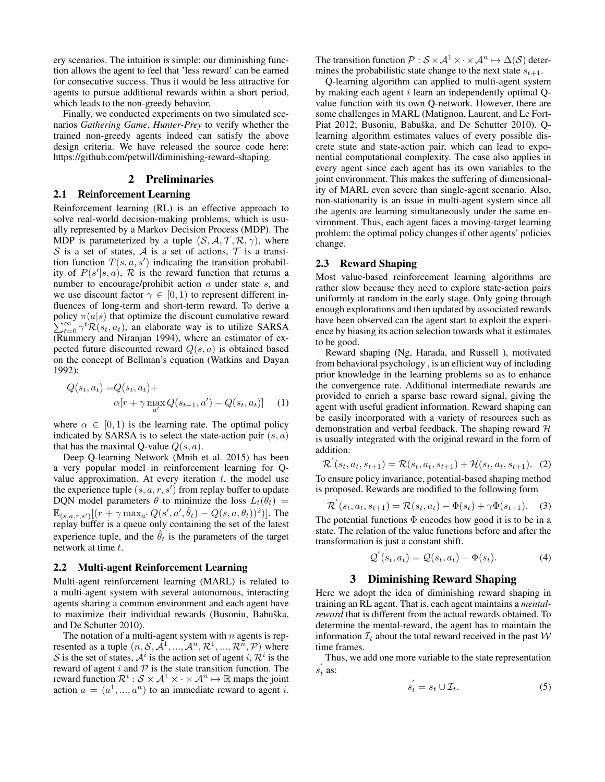ery scenarios. The intuition is simple: our diminishing function allows the agent to feel that 'less reward' can be earned for consecutive success. Thus it would be less attractive for agents to pursue additional rewards within a short period, which leads to the non-greedy behavior.

Finally, we conducted experiments on two simulated scenarios *Gathering Game*, *Hunter-Prey* to verify whether the trained non-greedy agents indeed can satisfy the above design criteria. We have released the source code here: https://github.com/petwill/diminishing-reward-shaping.

## 2 Preliminaries

#### 2.1 Reinforcement Learning

Reinforcement learning (RL) is an effective approach to solve real-world decision-making problems, which is usually represented by a Markov Decision Process (MDP). The MDP is parameterized by a tuple  $(S, A, T, R, \gamma)$ , where S is a set of states, A is a set of actions,  $\mathcal T$  is a transition function  $T(s, a, s')$  indicating the transition probability of  $P(s'|s, a)$ ,  $\mathcal R$  is the reward function that returns a number to encourage/prohibit action a under state s, and we use discount factor  $\gamma \in [0, 1)$  to represent different influences of long-term and short-term reward. To derive a policy  $\pi(a|s)$  that optimize the discount cumulative reward policy  $\pi(a|s)$  that optimize the discount cumulative reward  $\sum_{t=0}^{\infty} \gamma^t \mathcal{R}(s_t, a_t)$ , an elaborate way is to utilize SARSA (Rummery and Niranjan 1994), where an estimator of expected future discounted reward  $Q(s, a)$  is obtained based on the concept of Bellman's equation (Watkins and Dayan 1992):

$$
Q(s_t, a_t) = Q(s_t, a_t) +
$$
  
 
$$
\alpha[r + \gamma \max_{a'} Q(s_{t+1}, a') - Q(s_t, a_t)] \quad (1)
$$

where  $\alpha \in [0, 1)$  is the learning rate. The optimal policy indicated by SARSA is to select the state-action pair  $(s, a)$ that has the maximal Q-value  $Q(s, a)$ .

Deep Q-learning Network (Mnih et al. 2015) has been a very popular model in reinforcement learning for Qvalue approximation. At every iteration  $t$ , the model use the experience tuple  $(s, a, r, s')$  from replay buffer to update DQN model parameters  $\theta$  to minimize the loss  $L_t(\theta_t)$  =  $\mathbb{E}_{(s,a,r,s')}[(r + \gamma \max_{a'} Q(s',a',\hat{\theta}_t) - Q(s,a,\theta_t))^2)]$ . The replay buffer is a queue only containing the set of the latest experience tuple, and the  $\hat{\theta}_t$  is the parameters of the target network at time t.

#### 2.2 Multi-agent Reinforcement Learning

Multi-agent reinforcement learning (MARL) is related to a multi-agent system with several autonomous, interacting agents sharing a common environment and each agent have to maximize their individual rewards (Busoniu, Babuška, and De Schutter 2010).

The notation of a multi-agent system with  $n$  agents is represented as a tuple  $(n, \mathcal{S}, \tilde{\mathcal{A}}^1, ..., \tilde{\mathcal{A}}^n, \mathcal{R}^1, ..., \mathcal{R}^n, \mathcal{P})$  where S is the set of states,  $A^i$  is the action set of agent i,  $\mathcal{R}^i$  is the reward of agent  $i$  and  $P$  is the state transition function. The reward function  $\mathcal{R}^i : \mathcal{S} \times \mathcal{A}^1 \times \cdot \times \mathcal{A}^n \mapsto \mathbb{R}$  maps the joint action  $a = (a^1, ..., a^n)$  to an immediate reward to agent i.

The transition function  $\mathcal{P}: \mathcal{S} \times \mathcal{A}^1 \times \cdot \times \mathcal{A}^n \mapsto \Delta(\mathcal{S})$  determines the probabilistic state change to the next state  $s_{t+1}$ .

Q-learning algorithm can applied to multi-agent system by making each agent  $i$  learn an independently optimal Qvalue function with its own Q-network. However, there are some challenges in MARL (Matignon, Laurent, and Le Fort-Piat 2012; Busoniu, Babuška, and De Schutter 2010). Qlearning algorithm estimates values of every possible discrete state and state-action pair, which can lead to exponential computational complexity. The case also applies in every agent since each agent has its own variables to the joint environment. This makes the suffering of dimensionality of MARL even severe than single-agent scenario. Also, non-stationarity is an issue in multi-agent system since all the agents are learning simultaneously under the same environment. Thus, each agent faces a moving-target learning problem: the optimal policy changes if other agents' policies change.

#### 2.3 Reward Shaping

Most value-based reinforcement learning algorithms are rather slow because they need to explore state-action pairs uniformly at random in the early stage. Only going through enough explorations and then updated by associated rewards have been observed can the agent start to exploit the experience by biasing its action selection towards what it estimates to be good.

Reward shaping (Ng, Harada, and Russell ), motivated from behavioral psychology , is an efficient way of including prior knowledge in the learning problems so as to enhance the convergence rate. Additional intermediate rewards are provided to enrich a sparse base reward signal, giving the agent with useful gradient information. Reward shaping can be easily incorporated with a variety of resources such as demonstration and verbal feedback. The shaping reward  $H$ is usually integrated with the original reward in the form of addition:

$$
\mathcal{R}'(s_t, a_t, s_{t+1}) = \mathcal{R}(s_t, a_t, s_{t+1}) + \mathcal{H}(s_t, a_t, s_{t+1}).
$$
 (2)

To ensure policy invariance, potential-based shaping method is proposed. Rewards are modified to the following form

$$
\mathcal{R}'(s_t, a_t, s_{t+1}) = \mathcal{R}(s_t, a_t) - \Phi(s_t) + \gamma \Phi(s_{t+1}).
$$
 (3)

The potential functions  $\Phi$  encodes how good it is to be in a state. The relation of the value functions before and after the transformation is just a constant shift.

$$
\mathcal{Q}'(s_t, a_t) = \mathcal{Q}(s_t, a_t) - \Phi(s_t). \tag{4}
$$

## 3 Diminishing Reward Shaping

Here we adopt the idea of diminishing reward shaping in training an RL agent. That is, each agent maintains a *mentalreward* that is different from the actual rewards obtained. To determine the mental-reward, the agent has to maintain the information  $\mathcal{I}_t$  about the total reward received in the past  $\mathcal W$ time frames.

Thus, we add one more variable to the state representation  $s_t'$  as:

$$
s_t' = s_t \cup \mathcal{I}_t. \tag{5}
$$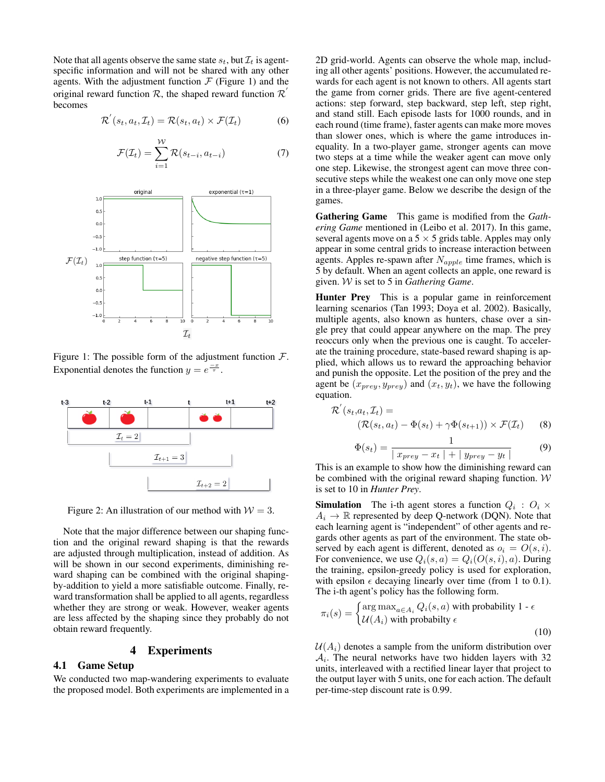Note that all agents observe the same state  $s_t$ , but  $\mathcal{I}_t$  is agentspecific information and will not be shared with any other agents. With the adjustment function  $F$  (Figure 1) and the original reward function  $\mathcal{R}$ , the shaped reward function  $\mathcal{R}'$ becomes

$$
\mathcal{R}'(s_t, a_t, \mathcal{I}_t) = \mathcal{R}(s_t, a_t) \times \mathcal{F}(\mathcal{I}_t)
$$
 (6)

$$
\mathcal{F}(\mathcal{I}_t) = \sum_{i=1}^{W} \mathcal{R}(s_{t-i}, a_{t-i})
$$
\n(7)



Figure 1: The possible form of the adjustment function  $\mathcal{F}$ . Exponential denotes the function  $y = e^{\frac{-x}{\tau}}$ .



Figure 2: An illustration of our method with  $W = 3$ .

Note that the major difference between our shaping function and the original reward shaping is that the rewards are adjusted through multiplication, instead of addition. As will be shown in our second experiments, diminishing reward shaping can be combined with the original shapingby-addition to yield a more satisfiable outcome. Finally, reward transformation shall be applied to all agents, regardless whether they are strong or weak. However, weaker agents are less affected by the shaping since they probably do not obtain reward frequently.

## 4 Experiments

## 4.1 Game Setup

We conducted two map-wandering experiments to evaluate the proposed model. Both experiments are implemented in a

2D grid-world. Agents can observe the whole map, including all other agents' positions. However, the accumulated rewards for each agent is not known to others. All agents start the game from corner grids. There are five agent-centered actions: step forward, step backward, step left, step right, and stand still. Each episode lasts for 1000 rounds, and in each round (time frame), faster agents can make more moves than slower ones, which is where the game introduces inequality. In a two-player game, stronger agents can move two steps at a time while the weaker agent can move only one step. Likewise, the strongest agent can move three consecutive steps while the weakest one can only move one step in a three-player game. Below we describe the design of the games.

Gathering Game This game is modified from the *Gathering Game* mentioned in (Leibo et al. 2017). In this game, several agents move on a  $5 \times 5$  grids table. Apples may only appear in some central grids to increase interaction between agents. Apples re-spawn after  $N_{apple}$  time frames, which is 5 by default. When an agent collects an apple, one reward is given. W is set to 5 in *Gathering Game*.

Hunter Prey This is a popular game in reinforcement learning scenarios (Tan 1993; Doya et al. 2002). Basically, multiple agents, also known as hunters, chase over a single prey that could appear anywhere on the map. The prey reoccurs only when the previous one is caught. To accelerate the training procedure, state-based reward shaping is applied, which allows us to reward the approaching behavior and punish the opposite. Let the position of the prey and the agent be  $(x_{prey}, y_{prey})$  and  $(x_t, y_t)$ , we have the following equation.

$$
\mathcal{R}'(s_t, a_t, \mathcal{I}_t) =
$$
  

$$
(\mathcal{R}(s_t, a_t) - \Phi(s_t) + \gamma \Phi(s_{t+1})) \times \mathcal{F}(\mathcal{I}_t)
$$
 (8)

$$
\Phi(s_t) = \frac{1}{|x_{prey} - x_t| + |y_{prey} - y_t|}
$$
\n(9)

This is an example to show how the diminishing reward can be combined with the original reward shaping function. W is set to 10 in *Hunter Prey*.

**Simulation** The i-th agent stores a function  $Q_i$ :  $O_i \times$  $A_i \rightarrow \mathbb{R}$  represented by deep Q-network (DQN). Note that each learning agent is "independent" of other agents and regards other agents as part of the environment. The state observed by each agent is different, denoted as  $o_i = O(s, i)$ . For convenience, we use  $Q_i(s, a) = Q_i(O(s, i), a)$ . During the training, epsilon-greedy policy is used for exploration, with epsilon  $\epsilon$  decaying linearly over time (from 1 to 0.1). The i-th agent's policy has the following form.

$$
\pi_i(s) = \begin{cases} \arg \max_{a \in A_i} Q_i(s, a) \text{ with probability } 1 - \epsilon \\ \mathcal{U}(A_i) \text{ with probability } \epsilon \end{cases}
$$
\n(10)

 $U(A_i)$  denotes a sample from the uniform distribution over  $A_i$ . The neural networks have two hidden layers with 32 units, interleaved with a rectified linear layer that project to the output layer with 5 units, one for each action. The default per-time-step discount rate is 0.99.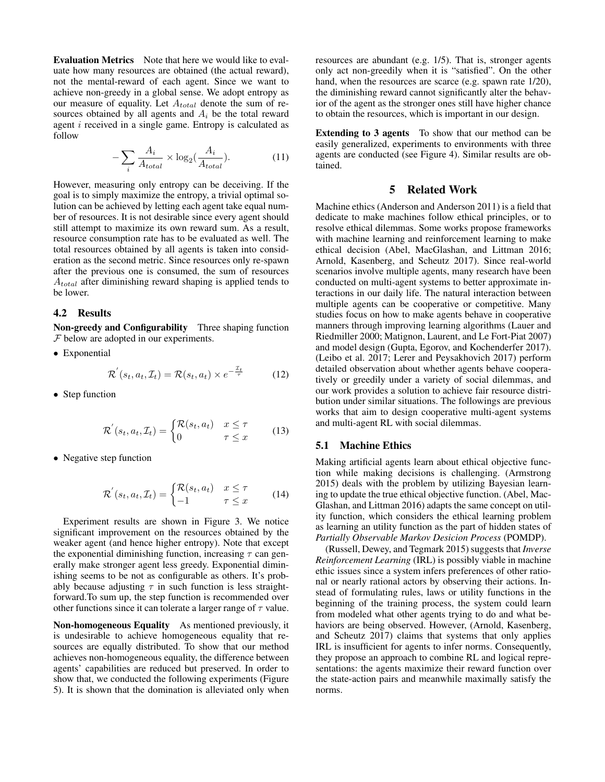Evaluation Metrics Note that here we would like to evaluate how many resources are obtained (the actual reward), not the mental-reward of each agent. Since we want to achieve non-greedy in a global sense. We adopt entropy as our measure of equality. Let  $A_{total}$  denote the sum of resources obtained by all agents and  $A_i$  be the total reward agent  $i$  received in a single game. Entropy is calculated as follow

$$
-\sum_{i} \frac{A_i}{A_{total}} \times \log_2(\frac{A_i}{A_{total}}). \tag{11}
$$

However, measuring only entropy can be deceiving. If the goal is to simply maximize the entropy, a trivial optimal solution can be achieved by letting each agent take equal number of resources. It is not desirable since every agent should still attempt to maximize its own reward sum. As a result, resource consumption rate has to be evaluated as well. The total resources obtained by all agents is taken into consideration as the second metric. Since resources only re-spawn after the previous one is consumed, the sum of resources  $A_{total}$  after diminishing reward shaping is applied tends to be lower.

#### 4.2 Results

Non-greedy and Configurability Three shaping function  $F$  below are adopted in our experiments.

• Exponential

$$
\mathcal{R}'(s_t, a_t, \mathcal{I}_t) = \mathcal{R}(s_t, a_t) \times e^{-\frac{\mathcal{I}_t}{\tau}}
$$
 (12)

• Step function

$$
\mathcal{R}'(s_t, a_t, \mathcal{I}_t) = \begin{cases} \mathcal{R}(s_t, a_t) & x \le \tau \\ 0 & \tau \le x \end{cases} \tag{13}
$$

• Negative step function

$$
\mathcal{R}'(s_t, a_t, \mathcal{I}_t) = \begin{cases} \mathcal{R}(s_t, a_t) & x \le \tau \\ -1 & \tau \le x \end{cases} \tag{14}
$$

Experiment results are shown in Figure 3. We notice significant improvement on the resources obtained by the weaker agent (and hence higher entropy). Note that except the exponential diminishing function, increasing  $\tau$  can generally make stronger agent less greedy. Exponential diminishing seems to be not as configurable as others. It's probably because adjusting  $\tau$  in such function is less straightforward.To sum up, the step function is recommended over other functions since it can tolerate a larger range of  $\tau$  value.

Non-homogeneous Equality As mentioned previously, it is undesirable to achieve homogeneous equality that resources are equally distributed. To show that our method achieves non-homogeneous equality, the difference between agents' capabilities are reduced but preserved. In order to show that, we conducted the following experiments (Figure 5). It is shown that the domination is alleviated only when resources are abundant (e.g. 1/5). That is, stronger agents only act non-greedily when it is "satisfied". On the other hand, when the resources are scarce (e.g. spawn rate 1/20), the diminishing reward cannot significantly alter the behavior of the agent as the stronger ones still have higher chance to obtain the resources, which is important in our design.

Extending to 3 agents To show that our method can be easily generalized, experiments to environments with three agents are conducted (see Figure 4). Similar results are obtained.

## 5 Related Work

Machine ethics (Anderson and Anderson 2011) is a field that dedicate to make machines follow ethical principles, or to resolve ethical dilemmas. Some works propose frameworks with machine learning and reinforcement learning to make ethical decision (Abel, MacGlashan, and Littman 2016; Arnold, Kasenberg, and Scheutz 2017). Since real-world scenarios involve multiple agents, many research have been conducted on multi-agent systems to better approximate interactions in our daily life. The natural interaction between multiple agents can be cooperative or competitive. Many studies focus on how to make agents behave in cooperative manners through improving learning algorithms (Lauer and Riedmiller 2000; Matignon, Laurent, and Le Fort-Piat 2007) and model design (Gupta, Egorov, and Kochenderfer 2017). (Leibo et al. 2017; Lerer and Peysakhovich 2017) perform detailed observation about whether agents behave cooperatively or greedily under a variety of social dilemmas, and our work provides a solution to achieve fair resource distribution under similar situations. The followings are previous works that aim to design cooperative multi-agent systems and multi-agent RL with social dilemmas.

## 5.1 Machine Ethics

Making artificial agents learn about ethical objective function while making decisions is challenging. (Armstrong 2015) deals with the problem by utilizing Bayesian learning to update the true ethical objective function. (Abel, Mac-Glashan, and Littman 2016) adapts the same concept on utility function, which considers the ethical learning problem as learning an utility function as the part of hidden states of *Partially Observable Markov Desicion Process* (POMDP).

(Russell, Dewey, and Tegmark 2015) suggests that *Inverse Reinforcement Learning* (IRL) is possibly viable in machine ethic issues since a system infers preferences of other rational or nearly rational actors by observing their actions. Instead of formulating rules, laws or utility functions in the beginning of the training process, the system could learn from modeled what other agents trying to do and what behaviors are being observed. However, (Arnold, Kasenberg, and Scheutz 2017) claims that systems that only applies IRL is insufficient for agents to infer norms. Consequently, they propose an approach to combine RL and logical representations: the agents maximize their reward function over the state-action pairs and meanwhile maximally satisfy the norms.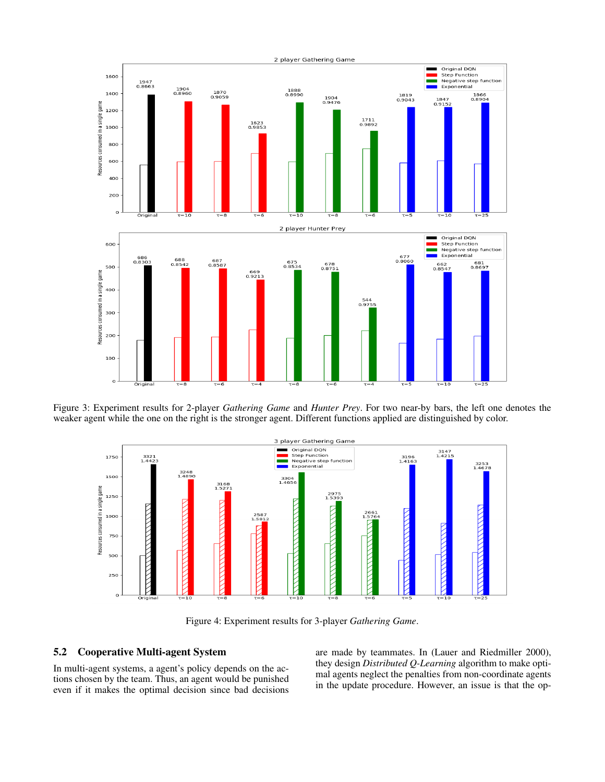

Figure 3: Experiment results for 2-player *Gathering Game* and *Hunter Prey*. For two near-by bars, the left one denotes the weaker agent while the one on the right is the stronger agent. Different functions applied are distinguished by color.



Figure 4: Experiment results for 3-player *Gathering Game*.

## 5.2 Cooperative Multi-agent System

In multi-agent systems, a agent's policy depends on the actions chosen by the team. Thus, an agent would be punished even if it makes the optimal decision since bad decisions

are made by teammates. In (Lauer and Riedmiller 2000), they design *Distributed Q-Learning* algorithm to make optimal agents neglect the penalties from non-coordinate agents in the update procedure. However, an issue is that the op-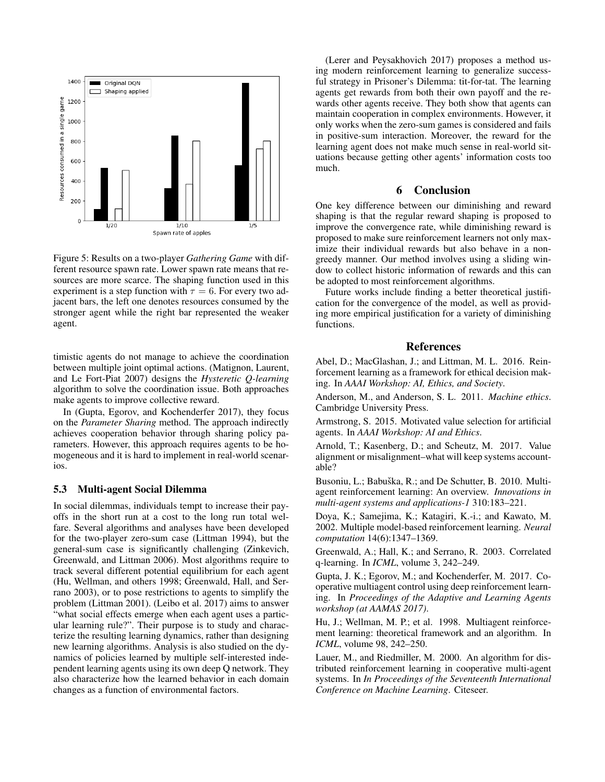

Figure 5: Results on a two-player *Gathering Game* with different resource spawn rate. Lower spawn rate means that resources are more scarce. The shaping function used in this experiment is a step function with  $\tau = 6$ . For every two adjacent bars, the left one denotes resources consumed by the stronger agent while the right bar represented the weaker agent.

timistic agents do not manage to achieve the coordination between multiple joint optimal actions. (Matignon, Laurent, and Le Fort-Piat 2007) designs the *Hysteretic Q-learning* algorithm to solve the coordination issue. Both approaches make agents to improve collective reward.

In (Gupta, Egorov, and Kochenderfer 2017), they focus on the *Parameter Sharing* method. The approach indirectly achieves cooperation behavior through sharing policy parameters. However, this approach requires agents to be homogeneous and it is hard to implement in real-world scenarios.

## 5.3 Multi-agent Social Dilemma

In social dilemmas, individuals tempt to increase their payoffs in the short run at a cost to the long run total welfare. Several algorithms and analyses have been developed for the two-player zero-sum case (Littman 1994), but the general-sum case is significantly challenging (Zinkevich, Greenwald, and Littman 2006). Most algorithms require to track several different potential equilibrium for each agent (Hu, Wellman, and others 1998; Greenwald, Hall, and Serrano 2003), or to pose restrictions to agents to simplify the problem (Littman 2001). (Leibo et al. 2017) aims to answer "what social effects emerge when each agent uses a particular learning rule?". Their purpose is to study and characterize the resulting learning dynamics, rather than designing new learning algorithms. Analysis is also studied on the dynamics of policies learned by multiple self-interested independent learning agents using its own deep Q network. They also characterize how the learned behavior in each domain changes as a function of environmental factors.

(Lerer and Peysakhovich 2017) proposes a method using modern reinforcement learning to generalize successful strategy in Prisoner's Dilemma: tit-for-tat. The learning agents get rewards from both their own payoff and the rewards other agents receive. They both show that agents can maintain cooperation in complex environments. However, it only works when the zero-sum games is considered and fails in positive-sum interaction. Moreover, the reward for the learning agent does not make much sense in real-world situations because getting other agents' information costs too much.

## 6 Conclusion

One key difference between our diminishing and reward shaping is that the regular reward shaping is proposed to improve the convergence rate, while diminishing reward is proposed to make sure reinforcement learners not only maximize their individual rewards but also behave in a nongreedy manner. Our method involves using a sliding window to collect historic information of rewards and this can be adopted to most reinforcement algorithms.

Future works include finding a better theoretical justification for the convergence of the model, as well as providing more empirical justification for a variety of diminishing functions.

#### References

Abel, D.; MacGlashan, J.; and Littman, M. L. 2016. Reinforcement learning as a framework for ethical decision making. In *AAAI Workshop: AI, Ethics, and Society*.

Anderson, M., and Anderson, S. L. 2011. *Machine ethics*. Cambridge University Press.

Armstrong, S. 2015. Motivated value selection for artificial agents. In *AAAI Workshop: AI and Ethics*.

Arnold, T.; Kasenberg, D.; and Scheutz, M. 2017. Value alignment or misalignment–what will keep systems accountable?

Busoniu, L.; Babuška, R.; and De Schutter, B. 2010. Multiagent reinforcement learning: An overview. *Innovations in multi-agent systems and applications-1* 310:183–221.

Doya, K.; Samejima, K.; Katagiri, K.-i.; and Kawato, M. 2002. Multiple model-based reinforcement learning. *Neural computation* 14(6):1347–1369.

Greenwald, A.; Hall, K.; and Serrano, R. 2003. Correlated q-learning. In *ICML*, volume 3, 242–249.

Gupta, J. K.; Egorov, M.; and Kochenderfer, M. 2017. Cooperative multiagent control using deep reinforcement learning. In *Proceedings of the Adaptive and Learning Agents workshop (at AAMAS 2017)*.

Hu, J.; Wellman, M. P.; et al. 1998. Multiagent reinforcement learning: theoretical framework and an algorithm. In *ICML*, volume 98, 242–250.

Lauer, M., and Riedmiller, M. 2000. An algorithm for distributed reinforcement learning in cooperative multi-agent systems. In *In Proceedings of the Seventeenth International Conference on Machine Learning*. Citeseer.